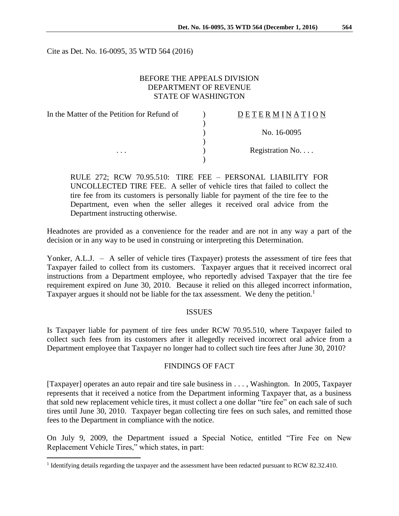Cite as Det. No. 16-0095, 35 WTD 564 (2016)

## BEFORE THE APPEALS DIVISION DEPARTMENT OF REVENUE STATE OF WASHINGTON

| In the Matter of the Petition for Refund of | <b>DETERMINATION</b> |
|---------------------------------------------|----------------------|
|                                             |                      |
|                                             | No. 16-0095          |
|                                             |                      |
| $\cdots$                                    | Registration No      |
|                                             |                      |

RULE 272; RCW 70.95.510: TIRE FEE – PERSONAL LIABILITY FOR UNCOLLECTED TIRE FEE. A seller of vehicle tires that failed to collect the tire fee from its customers is personally liable for payment of the tire fee to the Department, even when the seller alleges it received oral advice from the Department instructing otherwise.

Headnotes are provided as a convenience for the reader and are not in any way a part of the decision or in any way to be used in construing or interpreting this Determination.

Yonker, A.L.J. – A seller of vehicle tires (Taxpayer) protests the assessment of tire fees that Taxpayer failed to collect from its customers. Taxpayer argues that it received incorrect oral instructions from a Department employee, who reportedly advised Taxpayer that the tire fee requirement expired on June 30, 2010. Because it relied on this alleged incorrect information, Taxpayer argues it should not be liable for the tax assessment. We deny the petition.<sup>1</sup>

#### ISSUES

Is Taxpayer liable for payment of tire fees under RCW 70.95.510, where Taxpayer failed to collect such fees from its customers after it allegedly received incorrect oral advice from a Department employee that Taxpayer no longer had to collect such tire fees after June 30, 2010?

### FINDINGS OF FACT

[Taxpayer] operates an auto repair and tire sale business in . . . , Washington. In 2005, Taxpayer represents that it received a notice from the Department informing Taxpayer that, as a business that sold new replacement vehicle tires, it must collect a one dollar "tire fee" on each sale of such tires until June 30, 2010. Taxpayer began collecting tire fees on such sales, and remitted those fees to the Department in compliance with the notice.

On July 9, 2009, the Department issued a Special Notice, entitled "Tire Fee on New Replacement Vehicle Tires," which states, in part:

 $\overline{a}$ 

<sup>&</sup>lt;sup>1</sup> Identifying details regarding the taxpayer and the assessment have been redacted pursuant to RCW 82.32.410.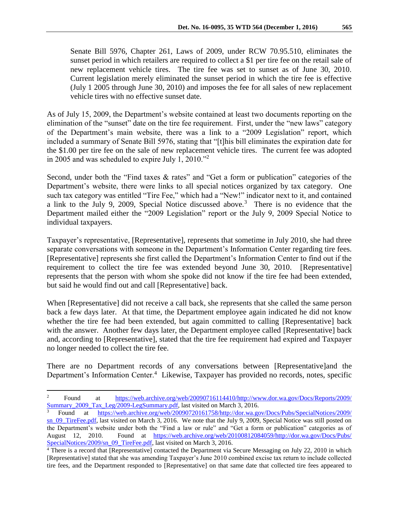Senate Bill 5976, Chapter 261, Laws of 2009, under RCW 70.95.510, eliminates the sunset period in which retailers are required to collect a \$1 per tire fee on the retail sale of new replacement vehicle tires. The tire fee was set to sunset as of June 30, 2010. Current legislation merely eliminated the sunset period in which the tire fee is effective (July 1 2005 through June 30, 2010) and imposes the fee for all sales of new replacement vehicle tires with no effective sunset date.

As of July 15, 2009, the Department's website contained at least two documents reporting on the elimination of the "sunset" date on the tire fee requirement. First, under the "new laws" category of the Department's main website, there was a link to a "2009 Legislation" report, which included a summary of Senate Bill 5976, stating that "[t]his bill eliminates the expiration date for the \$1.00 per tire fee on the sale of new replacement vehicle tires. The current fee was adopted in 2005 and was scheduled to expire July 1, 2010."<sup>2</sup>

Second, under both the "Find taxes & rates" and "Get a form or publication" categories of the Department's website, there were links to all special notices organized by tax category. One such tax category was entitled "Tire Fee," which had a "New!" indicator next to it, and contained a link to the July 9, 2009, Special Notice discussed above.<sup>3</sup> There is no evidence that the Department mailed either the "2009 Legislation" report or the July 9, 2009 Special Notice to individual taxpayers.

Taxpayer's representative, [Representative], represents that sometime in July 2010, she had three separate conversations with someone in the Department's Information Center regarding tire fees. [Representative] represents she first called the Department's Information Center to find out if the requirement to collect the tire fee was extended beyond June 30, 2010. [Representative] represents that the person with whom she spoke did not know if the tire fee had been extended, but said he would find out and call [Representative] back.

When [Representative] did not receive a call back, she represents that she called the same person back a few days later. At that time, the Department employee again indicated he did not know whether the tire fee had been extended, but again committed to calling [Representative] back with the answer. Another few days later, the Department employee called [Representative] back and, according to [Representative], stated that the tire fee requirement had expired and Taxpayer no longer needed to collect the tire fee.

There are no Department records of any conversations between [Representative]and the Department's Information Center.<sup>4</sup> Likewise, Taxpayer has provided no records, notes, specific

 $\overline{a}$ 

<sup>&</sup>lt;sup>2</sup> Found at <u>[https://web.archive.org/web/20090716114410/http://www.dor.wa.gov/Docs/Reports/2009/](https://web.archive.org/web/20090716114410/http:/www.dor.wa.gov/Docs/Reports/2009/Summary_2009_Tax_Leg/2009-LegSummary.pdf)</u> [Summary\\_2009\\_Tax\\_Leg/2009-LegSummary.pdf,](https://web.archive.org/web/20090716114410/http:/www.dor.wa.gov/Docs/Reports/2009/Summary_2009_Tax_Leg/2009-LegSummary.pdf) last visited on March 3, 2016.

<sup>3</sup> Found at [https://web.archive.org/web/20090720161758/http://dor.wa.gov/Docs/Pubs/SpecialNotices/2009/](https://web.archive.org/web/20090720161758/http:/dor.wa.gov/Docs/Pubs/SpecialNotices/2009/sn_09_TireFee.pdf) sn 09 TireFee.pdf, last visited on March 3, 2016. We note that the July 9, 2009, Special Notice was still posted on the Department's website under both the "Find a law or rule" and "Get a form or publication" categories as of August 12, 2010. Found at [https://web.archive.org/web/20100812084059/http://dor.wa.gov/Docs/Pubs/](https://web.archive.org/web/20100812084059/http:/dor.wa.gov/Docs/Pubs/SpecialNotices/2009/sn_09_TireFee.pdf) [SpecialNotices/2009/sn\\_09\\_TireFee.pdf,](https://web.archive.org/web/20100812084059/http:/dor.wa.gov/Docs/Pubs/SpecialNotices/2009/sn_09_TireFee.pdf) last visited on March 3, 2016.

<sup>&</sup>lt;sup>4</sup> There is a record that [Representative] contacted the Department via Secure Messaging on July 22, 2010 in which [Representative] stated that she was amending Taxpayer's June 2010 combined excise tax return to include collected tire fees, and the Department responded to [Representative] on that same date that collected tire fees appeared to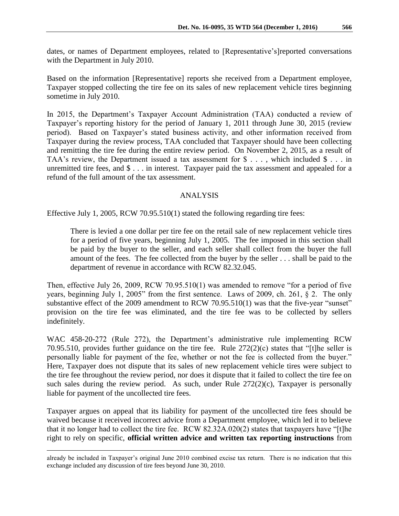Based on the information [Representative] reports she received from a Department employee, Taxpayer stopped collecting the tire fee on its sales of new replacement vehicle tires beginning sometime in July 2010.

In 2015, the Department's Taxpayer Account Administration (TAA) conducted a review of Taxpayer's reporting history for the period of January 1, 2011 through June 30, 2015 (review period). Based on Taxpayer's stated business activity, and other information received from Taxpayer during the review process, TAA concluded that Taxpayer should have been collecting and remitting the tire fee during the entire review period. On November 2, 2015, as a result of TAA's review, the Department issued a tax assessment for \$ . . . , which included \$ . . . in unremitted tire fees, and \$ . . . in interest. Taxpayer paid the tax assessment and appealed for a refund of the full amount of the tax assessment.

# ANALYSIS

Effective July 1, 2005, RCW 70.95.510(1) stated the following regarding tire fees:

There is levied a one dollar per tire fee on the retail sale of new replacement vehicle tires for a period of five years, beginning July 1, 2005. The fee imposed in this section shall be paid by the buyer to the seller, and each seller shall collect from the buyer the full amount of the fees. The fee collected from the buyer by the seller . . . shall be paid to the department of revenue in accordance with RCW 82.32.045.

Then, effective July 26, 2009, RCW 70.95.510(1) was amended to remove "for a period of five years, beginning July 1, 2005" from the first sentence. Laws of 2009, ch. 261, § 2. The only substantive effect of the 2009 amendment to RCW 70.95.510(1) was that the five-year "sunset" provision on the tire fee was eliminated, and the tire fee was to be collected by sellers indefinitely.

WAC 458-20-272 (Rule 272), the Department's administrative rule implementing RCW 70.95.510, provides further guidance on the tire fee. Rule 272(2)(c) states that "[t]he seller is personally liable for payment of the fee, whether or not the fee is collected from the buyer." Here, Taxpayer does not dispute that its sales of new replacement vehicle tires were subject to the tire fee throughout the review period, nor does it dispute that it failed to collect the tire fee on such sales during the review period. As such, under Rule  $272(2)(c)$ , Taxpayer is personally liable for payment of the uncollected tire fees.

Taxpayer argues on appeal that its liability for payment of the uncollected tire fees should be waived because it received incorrect advice from a Department employee, which led it to believe that it no longer had to collect the tire fee. RCW 82.32A.020(2) states that taxpayers have "[t]he right to rely on specific, **official written advice and written tax reporting instructions** from

already be included in Taxpayer's original June 2010 combined excise tax return. There is no indication that this exchange included any discussion of tire fees beyond June 30, 2010.

 $\overline{a}$